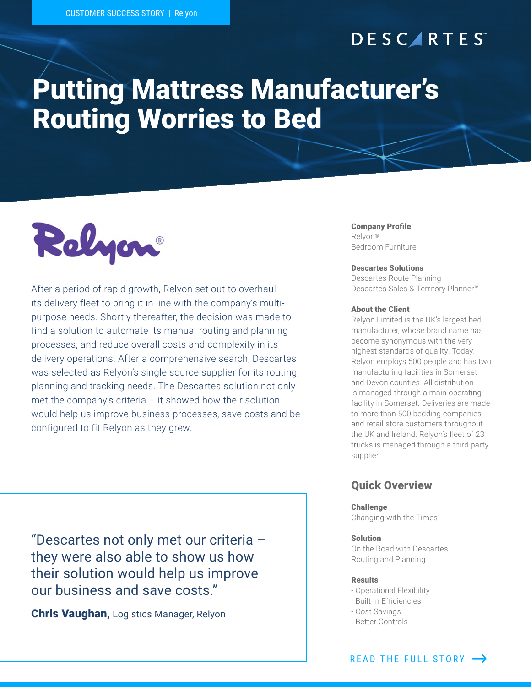# **DESCARTES**

# Putting Mattress Manufacturer's Routing Worries to Bed



After a period of rapid growth, Relyon set out to overhaul its delivery fleet to bring it in line with the company's multipurpose needs. Shortly thereafter, the decision was made to find a solution to automate its manual routing and planning processes, and reduce overall costs and complexity in its delivery operations. After a comprehensive search, Descartes was selected as Relyon's single source supplier for its routing, planning and tracking needs. The Descartes solution not only met the company's criteria – it showed how their solution would help us improve business processes, save costs and be configured to fit Relyon as they grew.

"Descartes not only met our criteria – they were also able to show us how their solution would help us improve our business and save costs."

Chris Vaughan, Logistics Manager, Relyon

#### Company Profile Relyon®

Bedroom Furniture

#### Descartes Solutions

Descartes Route Planning Descartes Sales & Territory Planner™

### About the Client

Relyon Limited is the UK's largest bed manufacturer, whose brand name has become synonymous with the very highest standards of quality. Today, Relyon employs 500 people and has two manufacturing facilities in Somerset and Devon counties. All distribution is managed through a main operating facility in Somerset. Deliveries are made to more than 500 bedding companies and retail store customers throughout the UK and Ireland. Relyon's fleet of 23 trucks is managed through a third party supplier.

### Quick Overview

#### **Challenge**

Changing with the Times

### Solution

On the Road with Descartes Routing and Planning

#### Results

- Operational Flexibility
- Built-in Efficiencies
- Cost Savings
- Better Controls